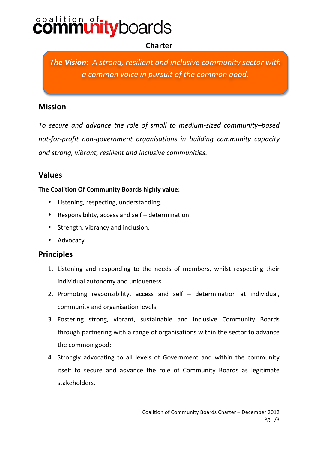# **coalition of:**<br>COMMUNI **ity**boards

# **Charter**

*The Vision: A strong, resilient and inclusive community sector with a common voice in pursuit of the common good.* 

## **Mission**

To secure and advance the role of small to medium- sized community–based not-for-profit non-government organisations in building community capacity and strong, vibrant, resilient and inclusive communities.

## **Values**

### **The Coalition Of Community Boards highly value:**

- Listening, respecting, understanding.
- Responsibility, access and self determination.
- Strength, vibrancy and inclusion.
- Advocacy

## **Principles**

- 1. Listening and responding to the needs of members, whilst respecting their individual autonomy and uniqueness
- 2. Promoting responsibility, access and self  $-$  determination at individual, community and organisation levels;
- 3. Fostering strong, vibrant, sustainable and inclusive Community Boards through partnering with a range of organisations within the sector to advance the common good;
- 4. Strongly advocating to all levels of Government and within the community itself to secure and advance the role of Community Boards as legitimate stakeholders.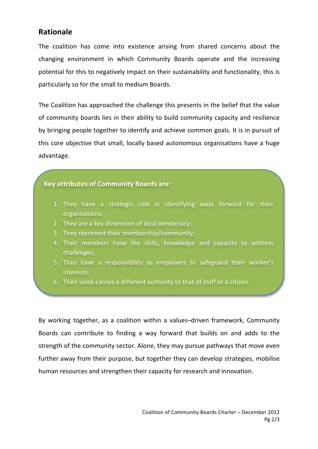## **Rationale!**

The coalition has come into existence arising from shared concerns about the changing environment in which Community Boards operate and the increasing potential for this to negatively impact on their sustainability and functionality, this is particularly so for the small to medium Boards.

The Coalition has approached the challenge this presents in the belief that the value of community boards lies in their ability to build community capacity and resilience by bringing people together to identify and achieve common goals. It is in pursuit of this core objective that small, locally based autonomous organisations have a huge advantage.

#### **Key attributes of Community Boards are:**

- 1. They have a strategic role in identifying ways forward for their organisations;
- 2. They are a key dimension of local democracy;
- 3. They represent their membership/community;
- 4. Their members have the skills, knowledge and capacity to address challenges;
- 5. They have a responsibility as employers to safeguard their worker's interests;
- 6. Their voice carries a different authority to that of staff or a citizen.

By working together, as a coalition within a values–driven framework, Community Boards can contribute to finding a way forward that builds on and adds to the strength of the community sector. Alone, they may pursue pathways that move even further away from their purpose, but together they can develop strategies, mobilise human resources and strengthen their capacity for research and innovation.